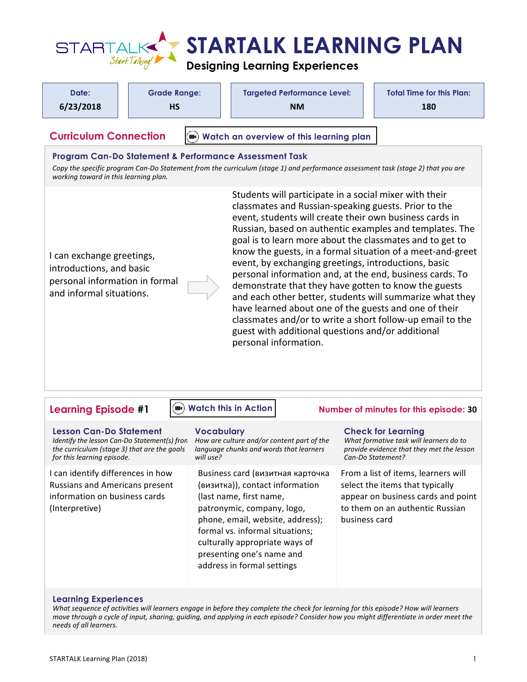

| Date:                                                                                                 |  | <b>Grade Range:</b> | <b>Targeted Performance Level:</b> | <b>Total Time for this Plan:</b> |
|-------------------------------------------------------------------------------------------------------|--|---------------------|------------------------------------|----------------------------------|
| 6/23/2018                                                                                             |  | <b>HS</b>           | <b>NM</b>                          | 180                              |
| <b>Curriculum Connection</b><br>$\left( \blacksquare \right)$ Watch an overview of this learning plan |  |                     |                                    |                                  |

#### **Program Can-Do Statement & Performance Assessment Task**

Copy the specific program Can-Do Statement from the curriculum (stage 1) and performance assessment task (stage 2) that you are *working toward in this learning plan.* 

I can exchange greetings, introductions, and basic personal information in formal and informal situations.

Students will participate in a social mixer with their classmates and Russian-speaking guests. Prior to the event, students will create their own business cards in Russian, based on authentic examples and templates. The goal is to learn more about the classmates and to get to know the guests, in a formal situation of a meet-and-greet event, by exchanging greetings, introductions, basic personal information and, at the end, business cards. To demonstrate that they have gotten to know the guests and each other better, students will summarize what they have learned about one of the guests and one of their classmates and/or to write a short follow-up email to the guest with additional questions and/or additional personal information.

### **[Watch this in Action](https://youtu.be/iFz0w_R59Rg)**

# **Learning Episode #1** ● Watch this in Action Mumber of minutes for this episode: 30

| <b>Lesson Can-Do Statement</b>                                                                                                | <b>Vocabulary</b>                                                                                                                                                                                                                                                                                | <b>Check for Learning</b>                                                                                                                                        |
|-------------------------------------------------------------------------------------------------------------------------------|--------------------------------------------------------------------------------------------------------------------------------------------------------------------------------------------------------------------------------------------------------------------------------------------------|------------------------------------------------------------------------------------------------------------------------------------------------------------------|
| Identify the lesson Can-Do Statement(s) fron                                                                                  | How are culture and/or content part of the                                                                                                                                                                                                                                                       | What formative task will learners do to                                                                                                                          |
| the curriculum (stage 3) that are the goals                                                                                   | language chunks and words that learners                                                                                                                                                                                                                                                          | provide evidence that they met the lesson                                                                                                                        |
| for this learning episode.                                                                                                    | will use?                                                                                                                                                                                                                                                                                        | Can-Do Statement?                                                                                                                                                |
| I can identify differences in how<br><b>Russians and Americans present</b><br>information on business cards<br>(Interpretive) | Business card (визитная карточка<br>(визитка)), contact information<br>(last name, first name,<br>patronymic, company, logo,<br>phone, email, website, address);<br>formal vs. informal situations;<br>culturally appropriate ways of<br>presenting one's name and<br>address in formal settings | From a list of items, learners will<br>select the items that typically<br>appear on business cards and point<br>to them on an authentic Russian<br>business card |

### **Learning Experiences**

What sequence of activities will learners engage in before they complete the check for learning for this episode? How will learners *move through a cycle of input, sharing, guiding, and applying in each episode? Consider how you might differentiate in order meet the needs of all learners.*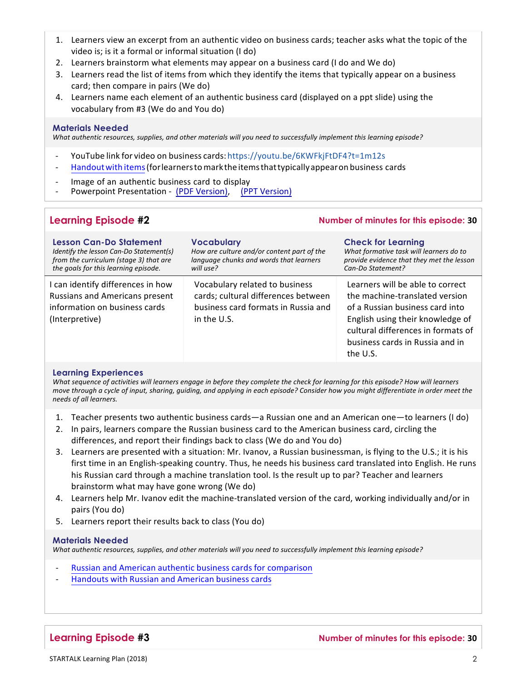- 1. Learners view an excerpt from an authentic video on business cards; teacher asks what the topic of the video is; is it a formal or informal situation (I do)
- 2. Learners brainstorm what elements may appear on a business card (I do and We do)
- 3. Learners read the list of items from which they identify the items that typically appear on a business card; then compare in pairs (We do)
- 4. Learners name each element of an authentic business card (displayed on a ppt slide) using the vocabulary from #3 (We do and You do)

#### **Materials Needed**

What authentic resources, supplies, and other materials will you need to successfully implement this learning episode?

- YouTube link for video on business cards:<https://youtu.be/6KWFkjFtDF4?t=1m12s>
- [Handoutwith](https://startalk.umd.edu/public/system/files/resources/kent_russian1_h1_business_cards_for_video.docx) items(forlearnerstomarkthe itemsthattypicallyappearon business cards
- Image of an authentic business card to display
- Powerpoint Presentation [\(PDF Version\),](https://startalk.umd.edu/public/system/files/resources/kent_russian1_businesscards.pdf) [\(PPT Version\)](https://startalk.umd.edu/public/system/files/resources/kent_russian1_businesscards.pptx)

## **Learning Episode #2 Number of minutes for this episode: 30**

| <b>Lesson Can-Do Statement</b>                                                                                                | <b>Vocabulary</b>                                                                                                           | <b>Check for Learning</b>                                                                                                                                                                                                      |
|-------------------------------------------------------------------------------------------------------------------------------|-----------------------------------------------------------------------------------------------------------------------------|--------------------------------------------------------------------------------------------------------------------------------------------------------------------------------------------------------------------------------|
| Identify the lesson Can-Do Statement(s)                                                                                       | How are culture and/or content part of the                                                                                  | What formative task will learners do to                                                                                                                                                                                        |
| from the curriculum (stage 3) that are                                                                                        | language chunks and words that learners                                                                                     | provide evidence that they met the lesson                                                                                                                                                                                      |
| the goals for this learning episode.                                                                                          | will use?                                                                                                                   | Can-Do Statement?                                                                                                                                                                                                              |
| I can identify differences in how<br><b>Russians and Americans present</b><br>information on business cards<br>(Interpretive) | Vocabulary related to business<br>cards; cultural differences between<br>business card formats in Russia and<br>in the U.S. | Learners will be able to correct<br>the machine-translated version<br>of a Russian business card into<br>English using their knowledge of<br>cultural differences in formats of<br>business cards in Russia and in<br>the U.S. |

### **Learning Experiences**

*What sequence of activities will learners engage in before they complete the check for learning for this episode? How will learners move through a cycle of input, sharing, guiding, and applying in each episode? Consider how you might differentiate in order meet the needs of all learners.*

- 1. Teacher presents two authentic business cards—a Russian one and an American one—to learners (I do)
- 2. In pairs, learners compare the Russian business card to the American business card, circling the differences, and report their findings back to class (We do and You do)
- 3. Learners are presented with a situation: Mr. Ivanov, a Russian businessman, is flying to the U.S.; it is his first time in an English-speaking country. Thus, he needs his business card translated into English. He runs his Russian card through a machine translation tool. Is the result up to par? Teacher and learners brainstorm what may have gone wrong (We do)
- 4. Learners help Mr. Ivanov edit the machine-translated version of the card, working individually and/or in pairs (You do)
- 5. Learners report their results back to class (You do)

#### **Materials Needed**

What authentic resources, supplies, and other materials will you need to successfully implement this learning episode?

- Russian and American authentic business cards for comparison
- [Handouts](https://startalk.umd.edu/public/system/files/resources/kent_russian1_h2_business_cards_to_match_to_situations.docx) with Russian and American business cards

### **Learning Episode #3 Number of minutes for this episode: 30**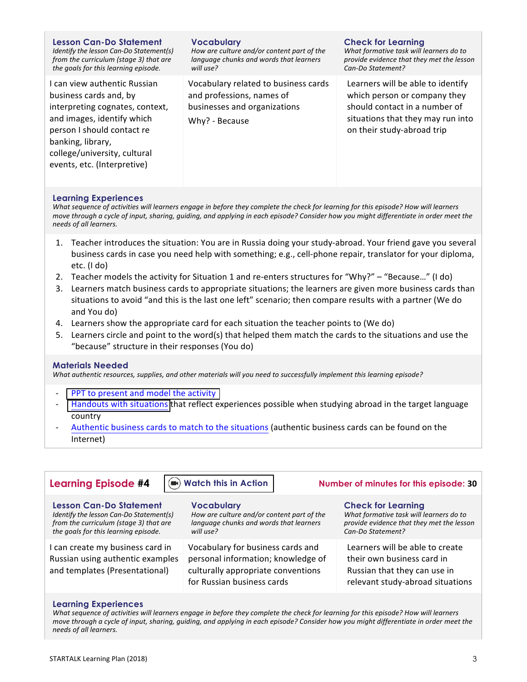| <b>Lesson Can-Do Statement</b>                                                                                                                                                                                                            | <b>Vocabulary</b>                                                                                                   | <b>Check for Learning</b>                                                                                                                                             |
|-------------------------------------------------------------------------------------------------------------------------------------------------------------------------------------------------------------------------------------------|---------------------------------------------------------------------------------------------------------------------|-----------------------------------------------------------------------------------------------------------------------------------------------------------------------|
| Identify the lesson Can-Do Statement(s)                                                                                                                                                                                                   | How are culture and/or content part of the                                                                          | What formative task will learners do to                                                                                                                               |
| from the curriculum (stage 3) that are                                                                                                                                                                                                    | language chunks and words that learners                                                                             | provide evidence that they met the lesson                                                                                                                             |
| the goals for this learning episode.                                                                                                                                                                                                      | will use?                                                                                                           | Can-Do Statement?                                                                                                                                                     |
| I can view authentic Russian<br>business cards and, by<br>interpreting cognates, context,<br>and images, identify which<br>person I should contact re<br>banking, library,<br>college/university, cultural<br>events, etc. (Interpretive) | Vocabulary related to business cards<br>and professions, names of<br>businesses and organizations<br>Why? - Because | Learners will be able to identify<br>which person or company they<br>should contact in a number of<br>situations that they may run into<br>on their study-abroad trip |

#### **Learning Experiences**

*What sequence of activities will learners engage in before they complete the check for learning for this episode? How will learners move through a cycle of input, sharing, quiding, and applying in each episode? Consider how you might differentiate in order meet the needs of all learners.*

- 1. Teacher introduces the situation: You are in Russia doing your study-abroad. Your friend gave you several business cards in case you need help with something; e.g., cell-phone repair, translator for your diploma, etc. (I do)
- 2. Teacher models the activity for Situation 1 and re-enters structures for "Why?" "Because..." (I do)
- 3. Learners match business cards to appropriate situations; the learners are given more business cards than situations to avoid "and this is the last one left" scenario; then compare results with a partner (We do and You do)
- 4. Learners show the appropriate card for each situation the teacher points to (We do)
- 5. Learners circle and point to the word(s) that helped them match the cards to the situations and use the "because" structure in their responses (You do)

### **Materials Needed**

What authentic resources, supplies, and other materials will you need to successfully implement this learning episode?

- PPT to [present](https://startalk.umd.edu/public/system/files/resources/kent_russian1_businesscards.pptx) and model the activity
- Handouts with situations that reflect experiences possible when studying abroad in the target language country
- Authentic business cards to match to the situations (authentic business cards can be found on the Internet)

| <b>Learning Episode #4</b>                                                                                                                                  | (a) Watch this in Action                                                                                                                    | Number of minutes for this episode: 30                                                                                                 |
|-------------------------------------------------------------------------------------------------------------------------------------------------------------|---------------------------------------------------------------------------------------------------------------------------------------------|----------------------------------------------------------------------------------------------------------------------------------------|
| <b>Lesson Can-Do Statement</b><br>Identify the lesson Can-Do Statement(s)<br>from the curriculum (stage 3) that are<br>the goals for this learning episode. | <b>Vocabulary</b><br>How are culture and/or content part of the<br>language chunks and words that learners<br>will use?                     | <b>Check for Learning</b><br>What formative task will learners do to<br>provide evidence that they met the lesson<br>Can-Do Statement? |
| I can create my business card in<br>Russian using authentic examples<br>and templates (Presentational)                                                      | Vocabulary for business cards and<br>personal information; knowledge of<br>culturally appropriate conventions<br>for Russian business cards | Learners will be able to create<br>their own business card in<br>Russian that they can use in<br>relevant study-abroad situations      |

#### **Learning Experiences**

*What sequence of activities will learners engage in before they complete the check for learning for this episode? How will learners move through a cycle of input, sharing, guiding, and applying in each episode? Consider how you might differentiate in order meet the needs of all learners.*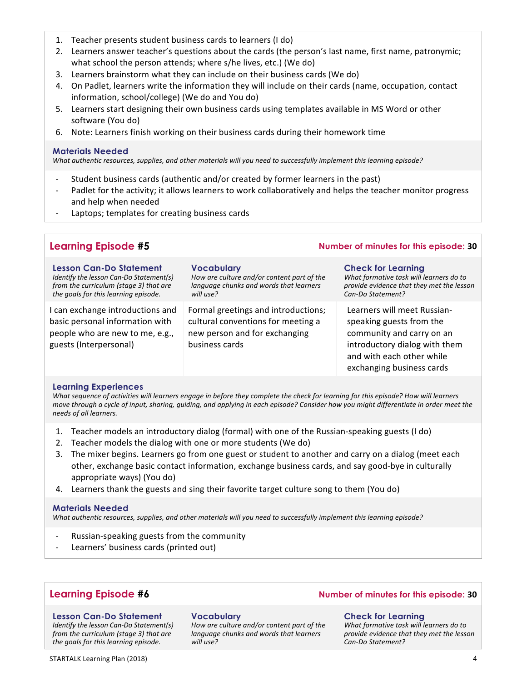- 1. Teacher presents student business cards to learners (I do)
- 2. Learners answer teacher's questions about the cards (the person's last name, first name, patronymic; what school the person attends; where s/he lives, etc.) (We do)
- 3. Learners brainstorm what they can include on their business cards (We do)
- 4. On Padlet, learners write the information they will include on their cards (name, occupation, contact information, school/college) (We do and You do)
- 5. Learners start designing their own business cards using templates available in MS Word or other software (You do)
- 6. Note: Learners finish working on their business cards during their homework time

### **Materials Needed**

What authentic resources, supplies, and other materials will you need to successfully implement this learning episode?

- Student business cards (authentic and/or created by former learners in the past)
- Padlet for the activity; it allows learners to work collaboratively and helps the teacher monitor progress and help when needed
- Laptops; templates for creating business cards

| <b>Learning Episode #5</b>                                                                                                                           | Number of minutes for this episode: 30                                                                                       |                                                                                                                                                                                 |
|------------------------------------------------------------------------------------------------------------------------------------------------------|------------------------------------------------------------------------------------------------------------------------------|---------------------------------------------------------------------------------------------------------------------------------------------------------------------------------|
| Lesson Can-Do Statement<br>Identify the lesson Can-Do Statement(s)<br>from the curriculum (stage 3) that are<br>the goals for this learning episode. | <b>Vocabulary</b><br>How are culture and/or content part of the<br>language chunks and words that learners<br>will use?      | <b>Check for Learning</b><br>What formative task will learners do to<br>provide evidence that they met the lesson<br>Can-Do Statement?                                          |
| I can exchange introductions and<br>basic personal information with<br>people who are new to me, e.g.,<br>guests (Interpersonal)                     | Formal greetings and introductions;<br>cultural conventions for meeting a<br>new person and for exchanging<br>business cards | Learners will meet Russian-<br>speaking guests from the<br>community and carry on an<br>introductory dialog with them<br>and with each other while<br>exchanging business cards |

#### **Learning Experiences**

*What sequence of activities will learners engage in before they complete the check for learning for this episode? How will learners move through a cycle of input, sharing, quiding, and applying in each episode? Consider how you might differentiate in order meet the needs of all learners.*

- 1. Teacher models an introductory dialog (formal) with one of the Russian-speaking guests (I do)
- 2. Teacher models the dialog with one or more students (We do)
- 3. The mixer begins. Learners go from one guest or student to another and carry on a dialog (meet each other, exchange basic contact information, exchange business cards, and say good-bye in culturally appropriate ways) (You do)
- 4. Learners thank the guests and sing their favorite target culture song to them (You do)

### **Materials Needed**

*What authentic resources, supplies, and other materials will you need to successfully implement this learning episode?* 

- Russian-speaking guests from the community
- Learners' business cards (printed out)

#### **Lesson Can-Do Statement**

*Identify the lesson Can-Do Statement(s) from the curriculum (stage 3) that are the goals for this learning episode.*

#### **Vocabulary**

How are culture and/or content part of the *language chunks and words that learners will use?*

## **Learning Episode #6 Number of minutes for this episode: 30**

#### **Check for Learning**

What formative task will learners do to *provide evidence that they met the lesson Can-Do Statement?*